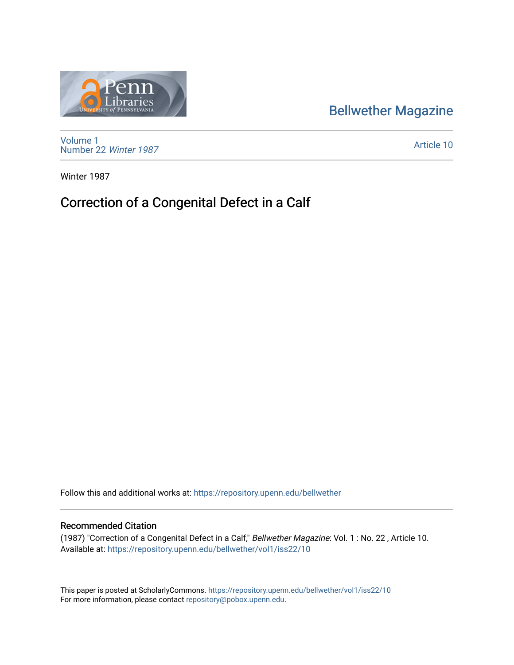## [Bellwether Magazine](https://repository.upenn.edu/bellwether)



[Volume 1](https://repository.upenn.edu/bellwether/vol1) [Number 22](https://repository.upenn.edu/bellwether/vol1/iss22) Winter 1987

[Article 10](https://repository.upenn.edu/bellwether/vol1/iss22/10) 

Winter 1987

## Correction of a Congenital Defect in a Calf

Follow this and additional works at: [https://repository.upenn.edu/bellwether](https://repository.upenn.edu/bellwether?utm_source=repository.upenn.edu%2Fbellwether%2Fvol1%2Fiss22%2F10&utm_medium=PDF&utm_campaign=PDFCoverPages) 

## Recommended Citation

(1987) "Correction of a Congenital Defect in a Calf," Bellwether Magazine: Vol. 1 : No. 22 , Article 10. Available at: [https://repository.upenn.edu/bellwether/vol1/iss22/10](https://repository.upenn.edu/bellwether/vol1/iss22/10?utm_source=repository.upenn.edu%2Fbellwether%2Fvol1%2Fiss22%2F10&utm_medium=PDF&utm_campaign=PDFCoverPages) 

This paper is posted at ScholarlyCommons.<https://repository.upenn.edu/bellwether/vol1/iss22/10> For more information, please contact [repository@pobox.upenn.edu.](mailto:repository@pobox.upenn.edu)